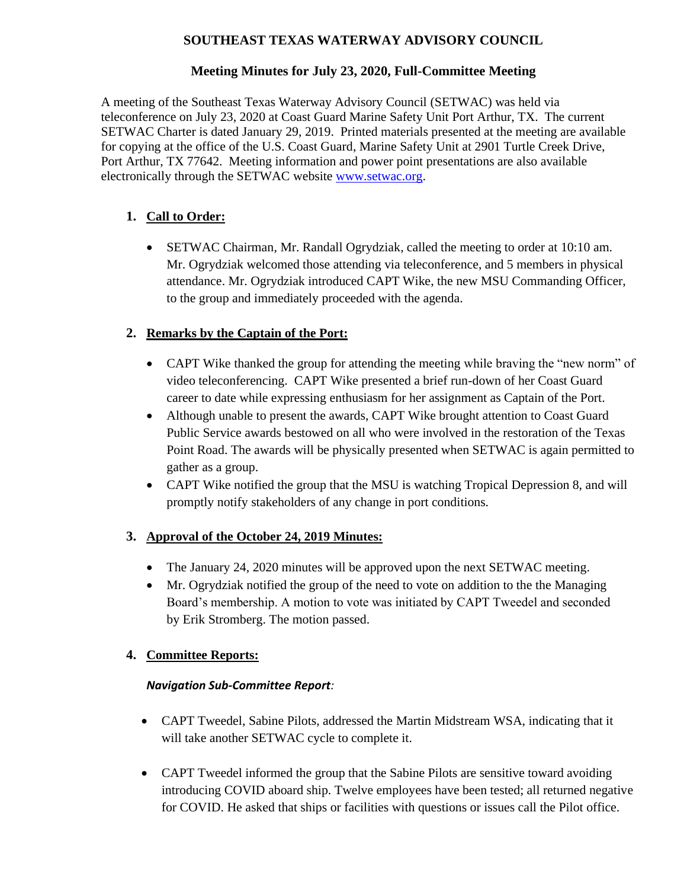# **SOUTHEAST TEXAS WATERWAY ADVISORY COUNCIL**

### **Meeting Minutes for July 23, 2020, Full-Committee Meeting**

A meeting of the Southeast Texas Waterway Advisory Council (SETWAC) was held via teleconference on July 23, 2020 at Coast Guard Marine Safety Unit Port Arthur, TX. The current SETWAC Charter is dated January 29, 2019. Printed materials presented at the meeting are available for copying at the office of the U.S. Coast Guard, Marine Safety Unit at 2901 Turtle Creek Drive, Port Arthur, TX 77642. Meeting information and power point presentations are also available electronically through the SETWAC website [www.setwac.org.](http://www.setwac.org/)

# **1. Call to Order:**

• SETWAC Chairman, Mr. Randall Ogrydziak, called the meeting to order at 10:10 am. Mr. Ogrydziak welcomed those attending via teleconference, and 5 members in physical attendance. Mr. Ogrydziak introduced CAPT Wike, the new MSU Commanding Officer, to the group and immediately proceeded with the agenda.

# **2. Remarks by the Captain of the Port:**

- CAPT Wike thanked the group for attending the meeting while braving the "new norm" of video teleconferencing. CAPT Wike presented a brief run-down of her Coast Guard career to date while expressing enthusiasm for her assignment as Captain of the Port.
- Although unable to present the awards, CAPT Wike brought attention to Coast Guard Public Service awards bestowed on all who were involved in the restoration of the Texas Point Road. The awards will be physically presented when SETWAC is again permitted to gather as a group.
- CAPT Wike notified the group that the MSU is watching Tropical Depression 8, and will promptly notify stakeholders of any change in port conditions.

### **3. Approval of the October 24, 2019 Minutes:**

- The January 24, 2020 minutes will be approved upon the next SETWAC meeting.
- Mr. Ogrydziak notified the group of the need to vote on addition to the the Managing Board's membership. A motion to vote was initiated by CAPT Tweedel and seconded by Erik Stromberg. The motion passed.

### **4. Committee Reports:**

### *Navigation Sub-Committee Report:*

- CAPT Tweedel, Sabine Pilots, addressed the Martin Midstream WSA, indicating that it will take another SETWAC cycle to complete it.
- CAPT Tweedel informed the group that the Sabine Pilots are sensitive toward avoiding introducing COVID aboard ship. Twelve employees have been tested; all returned negative for COVID. He asked that ships or facilities with questions or issues call the Pilot office.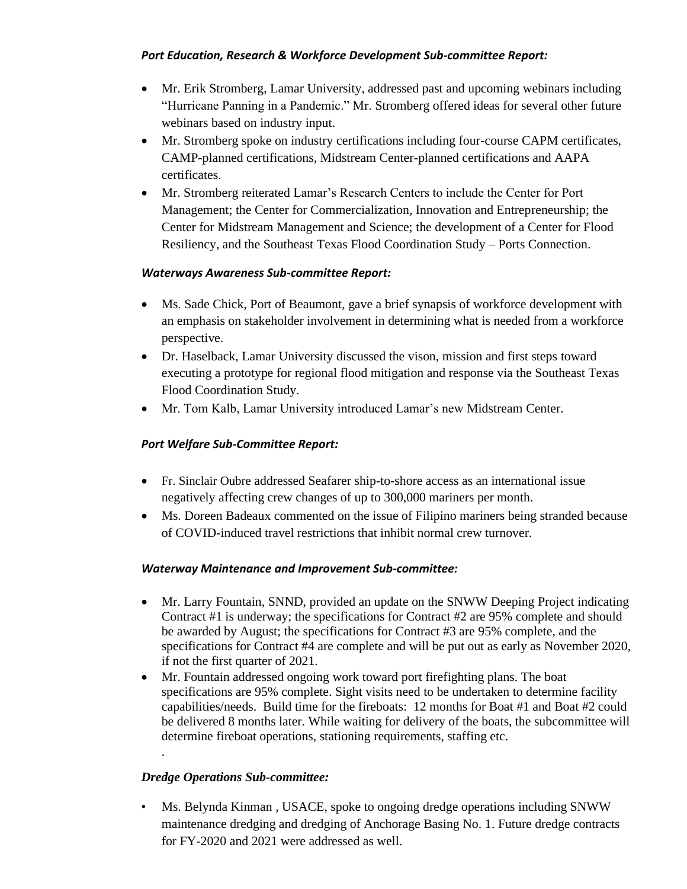#### *Port Education, Research & Workforce Development Sub-committee Report:*

- Mr. Erik Stromberg, Lamar University, addressed past and upcoming webinars including "Hurricane Panning in a Pandemic." Mr. Stromberg offered ideas for several other future webinars based on industry input.
- Mr. Stromberg spoke on industry certifications including four-course CAPM certificates, CAMP-planned certifications, Midstream Center-planned certifications and AAPA certificates.
- Mr. Stromberg reiterated Lamar's Research Centers to include the Center for Port Management; the Center for Commercialization, Innovation and Entrepreneurship; the Center for Midstream Management and Science; the development of a Center for Flood Resiliency, and the Southeast Texas Flood Coordination Study – Ports Connection.

#### *Waterways Awareness Sub-committee Report:*

- Ms. Sade Chick, Port of Beaumont, gave a brief synapsis of workforce development with an emphasis on stakeholder involvement in determining what is needed from a workforce perspective.
- Dr. Haselback, Lamar University discussed the vison, mission and first steps toward executing a prototype for regional flood mitigation and response via the Southeast Texas Flood Coordination Study.
- Mr. Tom Kalb, Lamar University introduced Lamar's new Midstream Center.

### *Port Welfare Sub-Committee Report:*

- Fr. Sinclair Oubre addressed Seafarer ship-to-shore access as an international issue negatively affecting crew changes of up to 300,000 mariners per month.
- Ms. Doreen Badeaux commented on the issue of Filipino mariners being stranded because of COVID-induced travel restrictions that inhibit normal crew turnover.

### *Waterway Maintenance and Improvement Sub-committee:*

- Mr. Larry Fountain, SNND, provided an update on the SNWW Deeping Project indicating Contract #1 is underway; the specifications for Contract #2 are 95% complete and should be awarded by August; the specifications for Contract #3 are 95% complete, and the specifications for Contract #4 are complete and will be put out as early as November 2020, if not the first quarter of 2021.
- Mr. Fountain addressed ongoing work toward port firefighting plans. The boat specifications are 95% complete. Sight visits need to be undertaken to determine facility capabilities/needs. Build time for the fireboats: 12 months for Boat #1 and Boat #2 could be delivered 8 months later. While waiting for delivery of the boats, the subcommittee will determine fireboat operations, stationing requirements, staffing etc. .

### *Dredge Operations Sub-committee:*

• Ms. Belynda Kinman , USACE, spoke to ongoing dredge operations including SNWW maintenance dredging and dredging of Anchorage Basing No. 1. Future dredge contracts for FY-2020 and 2021 were addressed as well.